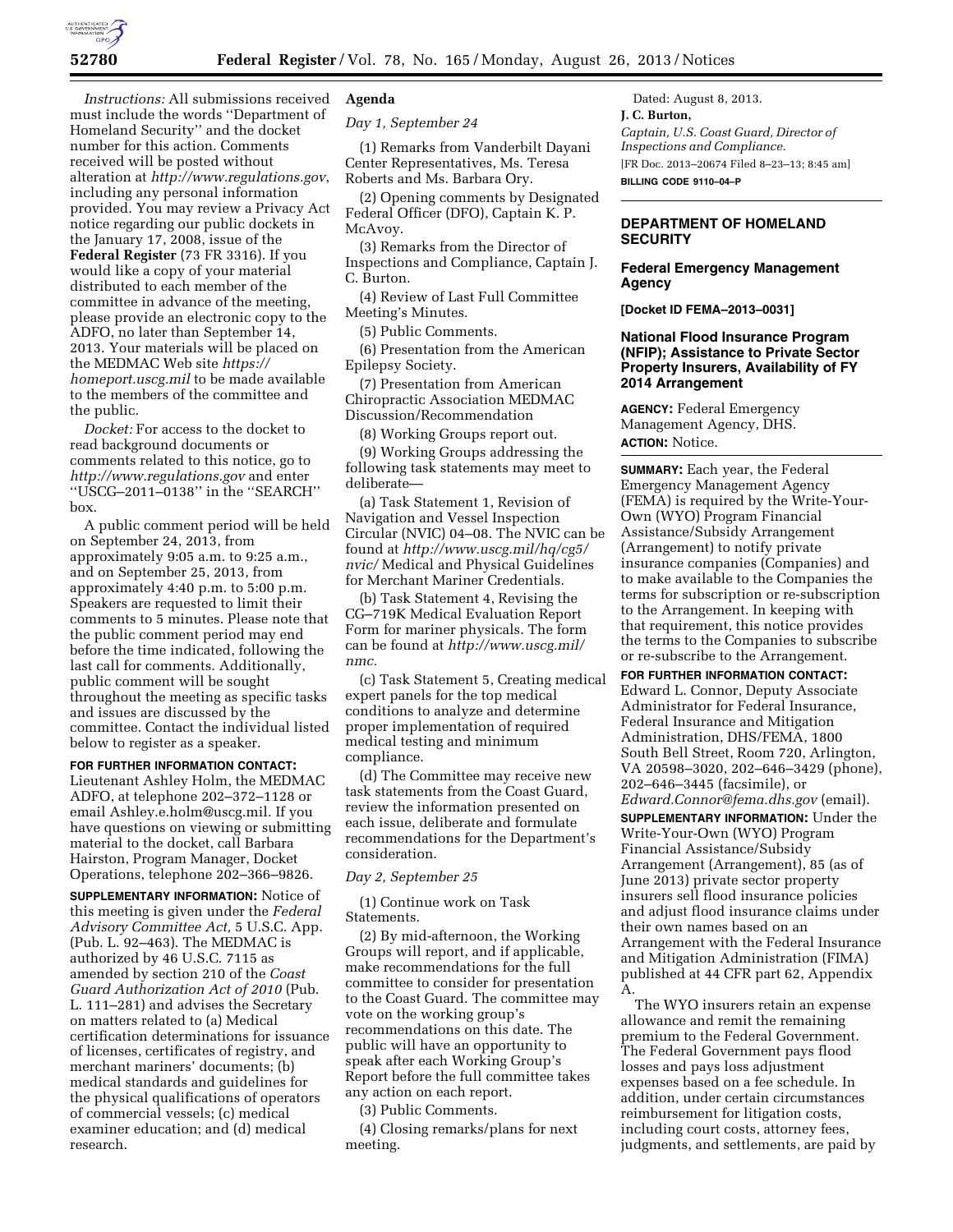

*Instructions:* All submissions received must include the words ''Department of Homeland Security'' and the docket number for this action. Comments received will be posted without alteration at *<http://www.regulations.gov>*, including any personal information provided. You may review a Privacy Act notice regarding our public dockets in the January 17, 2008, issue of the **Federal Register** (73 FR 3316). If you would like a copy of your material distributed to each member of the committee in advance of the meeting, please provide an electronic copy to the ADFO, no later than September 14, 2013. Your materials will be placed on the MEDMAC Web site *[https://](https://homeport.uscg.mil) [homeport.uscg.mil](https://homeport.uscg.mil)* to be made available to the members of the committee and the public.

*Docket:* For access to the docket to read background documents or comments related to this notice, go to *<http://www.regulations.gov>* and enter ''USCG–2011–0138'' in the ''SEARCH'' box.

A public comment period will be held on September 24, 2013, from approximately 9:05 a.m. to 9:25 a.m., and on September 25, 2013, from approximately 4:40 p.m. to 5:00 p.m. Speakers are requested to limit their comments to 5 minutes. Please note that the public comment period may end before the time indicated, following the last call for comments. Additionally, public comment will be sought throughout the meeting as specific tasks and issues are discussed by the committee. Contact the individual listed below to register as a speaker.

### **FOR FURTHER INFORMATION CONTACT:**

Lieutenant Ashley Holm, the MEDMAC ADFO, at telephone 202–372–1128 or email [Ashley.e.holm@uscg.mil.](mailto:Ashley.e.holm@uscg.mil) If you have questions on viewing or submitting material to the docket, call Barbara Hairston, Program Manager, Docket Operations, telephone 202–366–9826.

**SUPPLEMENTARY INFORMATION:** Notice of this meeting is given under the *Federal Advisory Committee Act,* 5 U.S.C. App. (Pub. L. 92–463). The MEDMAC is authorized by 46 U.S.C. 7115 as amended by section 210 of the *Coast Guard Authorization Act of 2010* (Pub. L. 111–281) and advises the Secretary on matters related to (a) Medical certification determinations for issuance of licenses, certificates of registry, and merchant mariners' documents; (b) medical standards and guidelines for the physical qualifications of operators of commercial vessels; (c) medical examiner education; and (d) medical research.

# **Agenda**

*Day 1, September 24* 

(1) Remarks from Vanderbilt Dayani Center Representatives, Ms. Teresa Roberts and Ms. Barbara Ory.

(2) Opening comments by Designated Federal Officer (DFO), Captain K. P. McAvoy.

(3) Remarks from the Director of Inspections and Compliance, Captain J. C. Burton.

(4) Review of Last Full Committee Meeting's Minutes.

(5) Public Comments.

(6) Presentation from the American Epilepsy Society.

(7) Presentation from American Chiropractic Association MEDMAC Discussion/Recommendation

(8) Working Groups report out.

(9) Working Groups addressing the following task statements may meet to deliberate—

(a) Task Statement 1, Revision of Navigation and Vessel Inspection Circular (NVIC) 04–08. The NVIC can be found at *[http://www.uscg.mil/hq/cg5/](http://www.uscg.mil/hq/cg5/nvic/) [nvic/](http://www.uscg.mil/hq/cg5/nvic/)* Medical and Physical Guidelines for Merchant Mariner Credentials.

(b) Task Statement 4, Revising the CG–719K Medical Evaluation Report Form for mariner physicals. The form can be found at *[http://www.uscg.mil/](http://www.uscg.mil/nmc)  [nmc.](http://www.uscg.mil/nmc)* 

(c) Task Statement 5, Creating medical expert panels for the top medical conditions to analyze and determine proper implementation of required medical testing and minimum compliance.

(d) The Committee may receive new task statements from the Coast Guard, review the information presented on each issue, deliberate and formulate recommendations for the Department's consideration.

### *Day 2, September 25*

(1) Continue work on Task Statements.

(2) By mid-afternoon, the Working Groups will report, and if applicable, make recommendations for the full committee to consider for presentation to the Coast Guard. The committee may vote on the working group's recommendations on this date. The public will have an opportunity to speak after each Working Group's Report before the full committee takes any action on each report.

(3) Public Comments.

(4) Closing remarks/plans for next meeting.

Dated: August 8, 2013. **J. C. Burton,**  *Captain, U.S. Coast Guard, Director of Inspections and Compliance.*  [FR Doc. 2013–20674 Filed 8–23–13; 8:45 am] **BILLING CODE 9110–04–P** 

# **DEPARTMENT OF HOMELAND SECURITY**

## **Federal Emergency Management Agency**

**[Docket ID FEMA–2013–0031]** 

## **National Flood Insurance Program (NFIP); Assistance to Private Sector Property Insurers, Availability of FY 2014 Arrangement**

**AGENCY:** Federal Emergency Management Agency, DHS. **ACTION:** Notice.

**SUMMARY:** Each year, the Federal Emergency Management Agency (FEMA) is required by the Write-Your-Own (WYO) Program Financial Assistance/Subsidy Arrangement (Arrangement) to notify private insurance companies (Companies) and to make available to the Companies the terms for subscription or re-subscription to the Arrangement. In keeping with that requirement, this notice provides the terms to the Companies to subscribe or re-subscribe to the Arrangement.

**FOR FURTHER INFORMATION CONTACT:**  Edward L. Connor, Deputy Associate Administrator for Federal Insurance, Federal Insurance and Mitigation Administration, DHS/FEMA, 1800 South Bell Street, Room 720, Arlington, VA 20598–3020, 202–646–3429 (phone), 202–646–3445 (facsimile), or *[Edward.Connor@fema.dhs.gov](mailto:Edward.Connor@fema.dhs.gov)* (email).

**SUPPLEMENTARY INFORMATION:** Under the Write-Your-Own (WYO) Program Financial Assistance/Subsidy Arrangement (Arrangement), 85 (as of June 2013) private sector property insurers sell flood insurance policies and adjust flood insurance claims under their own names based on an Arrangement with the Federal Insurance and Mitigation Administration (FIMA) published at 44 CFR part 62, Appendix A.

The WYO insurers retain an expense allowance and remit the remaining premium to the Federal Government. The Federal Government pays flood losses and pays loss adjustment expenses based on a fee schedule. In addition, under certain circumstances reimbursement for litigation costs, including court costs, attorney fees, judgments, and settlements, are paid by